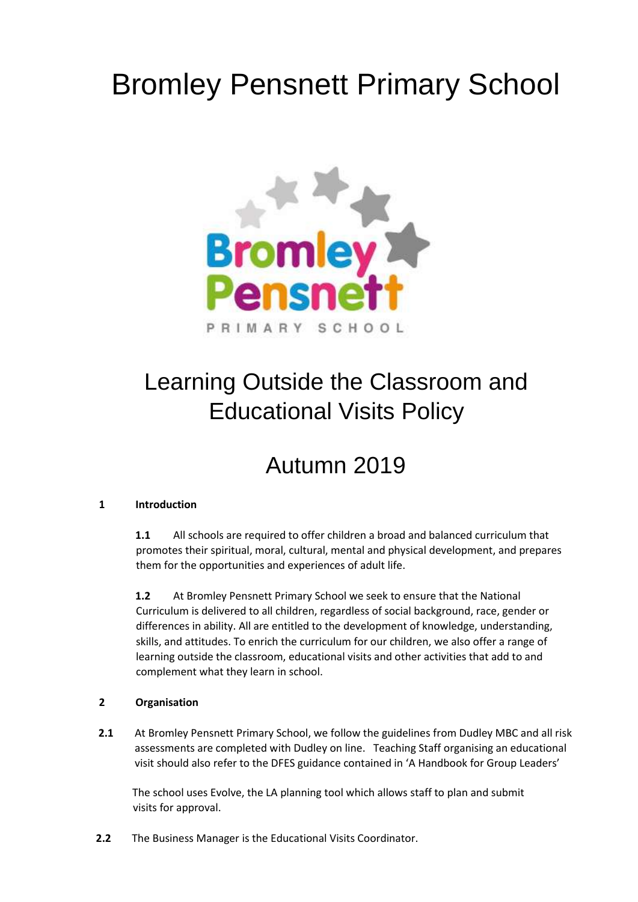# Bromley Pensnett Primary School



## Learning Outside the Classroom and Educational Visits Policy

### Autumn 2019

#### **1 Introduction**

**1.1** All schools are required to offer children a broad and balanced curriculum that promotes their spiritual, moral, cultural, mental and physical development, and prepares them for the opportunities and experiences of adult life.

**1.2** At Bromley Pensnett Primary School we seek to ensure that the National Curriculum is delivered to all children, regardless of social background, race, gender or differences in ability. All are entitled to the development of knowledge, understanding, skills, and attitudes. To enrich the curriculum for our children, we also offer a range of learning outside the classroom, educational visits and other activities that add to and complement what they learn in school.

#### **2 Organisation**

**2.1** At Bromley Pensnett Primary School, we follow the guidelines from Dudley MBC and all risk assessments are completed with Dudley on line. Teaching Staff organising an educational visit should also refer to the DFES guidance contained in 'A Handbook for Group Leaders'

The school uses Evolve, the LA planning tool which allows staff to plan and submit visits for approval.

**2.2** The Business Manager is the Educational Visits Coordinator.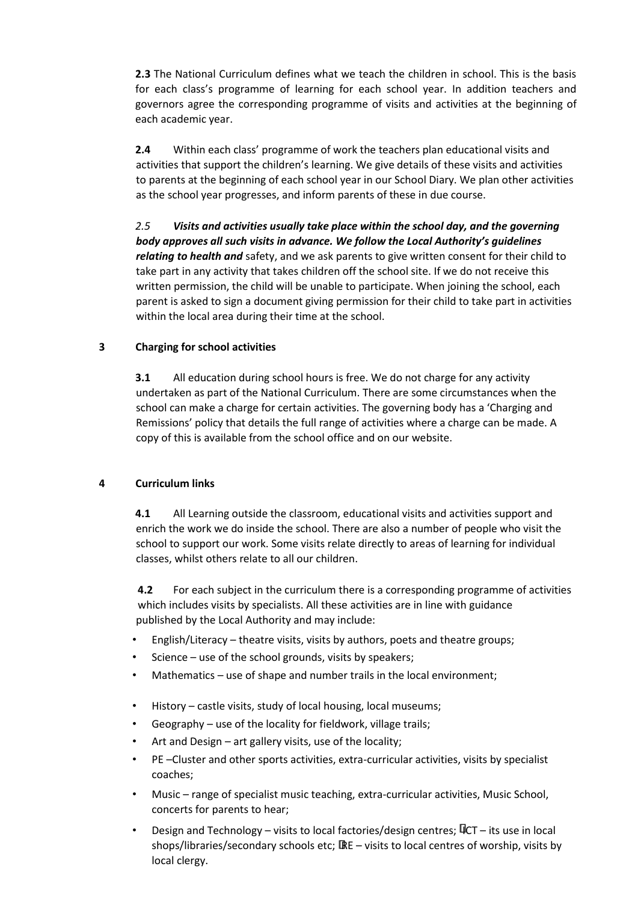**2.3** The National Curriculum defines what we teach the children in school. This is the basis for each class's programme of learning for each school year. In addition teachers and governors agree the corresponding programme of visits and activities at the beginning of each academic year.

**2.4** Within each class' programme of work the teachers plan educational visits and activities that support the children's learning. We give details of these visits and activities to parents at the beginning of each school year in our School Diary. We plan other activities as the school year progresses, and inform parents of these in due course.

*2.5 Visits and activities usually take place within the school day, and the governing body approves all such visits in advance. We follow the Local Authority's guidelines relating to health and* safety, and we ask parents to give written consent for their child to take part in any activity that takes children off the school site. If we do not receive this written permission, the child will be unable to participate. When joining the school, each parent is asked to sign a document giving permission for their child to take part in activities within the local area during their time at the school.

#### **3 Charging for school activities**

**3.1** All education during school hours is free. We do not charge for any activity undertaken as part of the National Curriculum. There are some circumstances when the school can make a charge for certain activities. The governing body has a 'Charging and Remissions' policy that details the full range of activities where a charge can be made. A copy of this is available from the school office and on our website.

#### **4 Curriculum links**

**4.1** All Learning outside the classroom, educational visits and activities support and enrich the work we do inside the school. There are also a number of people who visit the school to support our work. Some visits relate directly to areas of learning for individual classes, whilst others relate to all our children.

**4.2** For each subject in the curriculum there is a corresponding programme of activities which includes visits by specialists. All these activities are in line with guidance published by the Local Authority and may include:

- English/Literacy theatre visits, visits by authors, poets and theatre groups;
- Science use of the school grounds, visits by speakers;
- Mathematics use of shape and number trails in the local environment;
- History castle visits, study of local housing, local museums;
- Geography use of the locality for fieldwork, village trails;
- Art and Design art gallery visits, use of the locality;
- PE –Cluster and other sports activities, extra-curricular activities, visits by specialist coaches;
- Music range of specialist music teaching, extra-curricular activities, Music School, concerts for parents to hear;
- Design and Technology visits to local factories/design centres;  $\overline{\Psi}$ CT its use in local shops/libraries/secondary schools etc; IRE – visits to local centres of worship, visits by local clergy.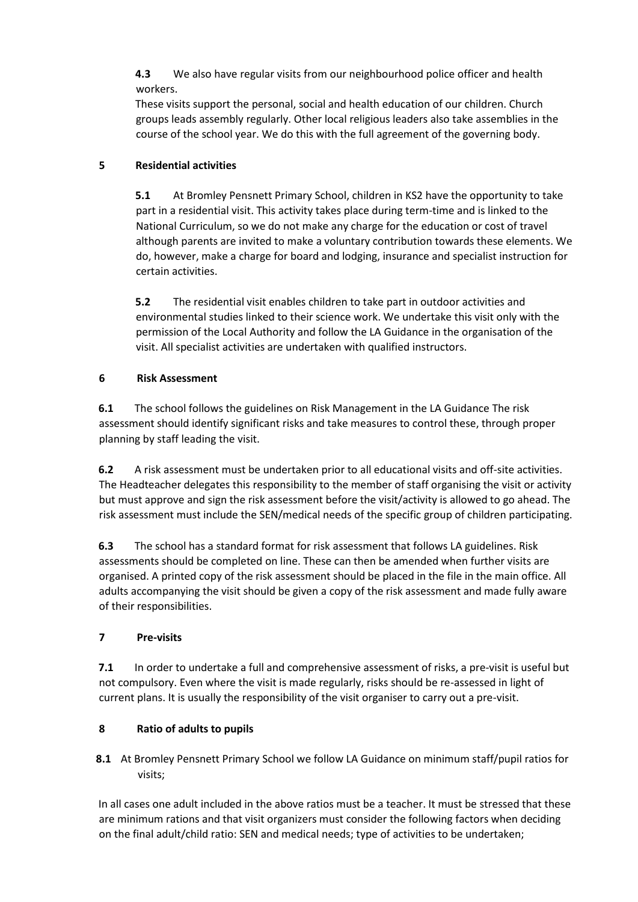**4.3** We also have regular visits from our neighbourhood police officer and health workers.

These visits support the personal, social and health education of our children. Church groups leads assembly regularly. Other local religious leaders also take assemblies in the course of the school year. We do this with the full agreement of the governing body.

#### **5 Residential activities**

**5.1** At Bromley Pensnett Primary School, children in KS2 have the opportunity to take part in a residential visit. This activity takes place during term-time and is linked to the National Curriculum, so we do not make any charge for the education or cost of travel although parents are invited to make a voluntary contribution towards these elements. We do, however, make a charge for board and lodging, insurance and specialist instruction for certain activities.

**5.2** The residential visit enables children to take part in outdoor activities and environmental studies linked to their science work. We undertake this visit only with the permission of the Local Authority and follow the LA Guidance in the organisation of the visit. All specialist activities are undertaken with qualified instructors.

#### **6 Risk Assessment**

**6.1** The school follows the guidelines on Risk Management in the LA Guidance The risk assessment should identify significant risks and take measures to control these, through proper planning by staff leading the visit.

**6.2** A risk assessment must be undertaken prior to all educational visits and off-site activities. The Headteacher delegates this responsibility to the member of staff organising the visit or activity but must approve and sign the risk assessment before the visit/activity is allowed to go ahead. The risk assessment must include the SEN/medical needs of the specific group of children participating.

**6.3** The school has a standard format for risk assessment that follows LA guidelines. Risk assessments should be completed on line. These can then be amended when further visits are organised. A printed copy of the risk assessment should be placed in the file in the main office. All adults accompanying the visit should be given a copy of the risk assessment and made fully aware of their responsibilities.

#### **7 Pre-visits**

**7.1** In order to undertake a full and comprehensive assessment of risks, a pre-visit is useful but not compulsory. Even where the visit is made regularly, risks should be re-assessed in light of current plans. It is usually the responsibility of the visit organiser to carry out a pre-visit.

#### **8 Ratio of adults to pupils**

**8.1** At Bromley Pensnett Primary School we follow LA Guidance on minimum staff/pupil ratios for visits;

In all cases one adult included in the above ratios must be a teacher. It must be stressed that these are minimum rations and that visit organizers must consider the following factors when deciding on the final adult/child ratio: SEN and medical needs; type of activities to be undertaken;